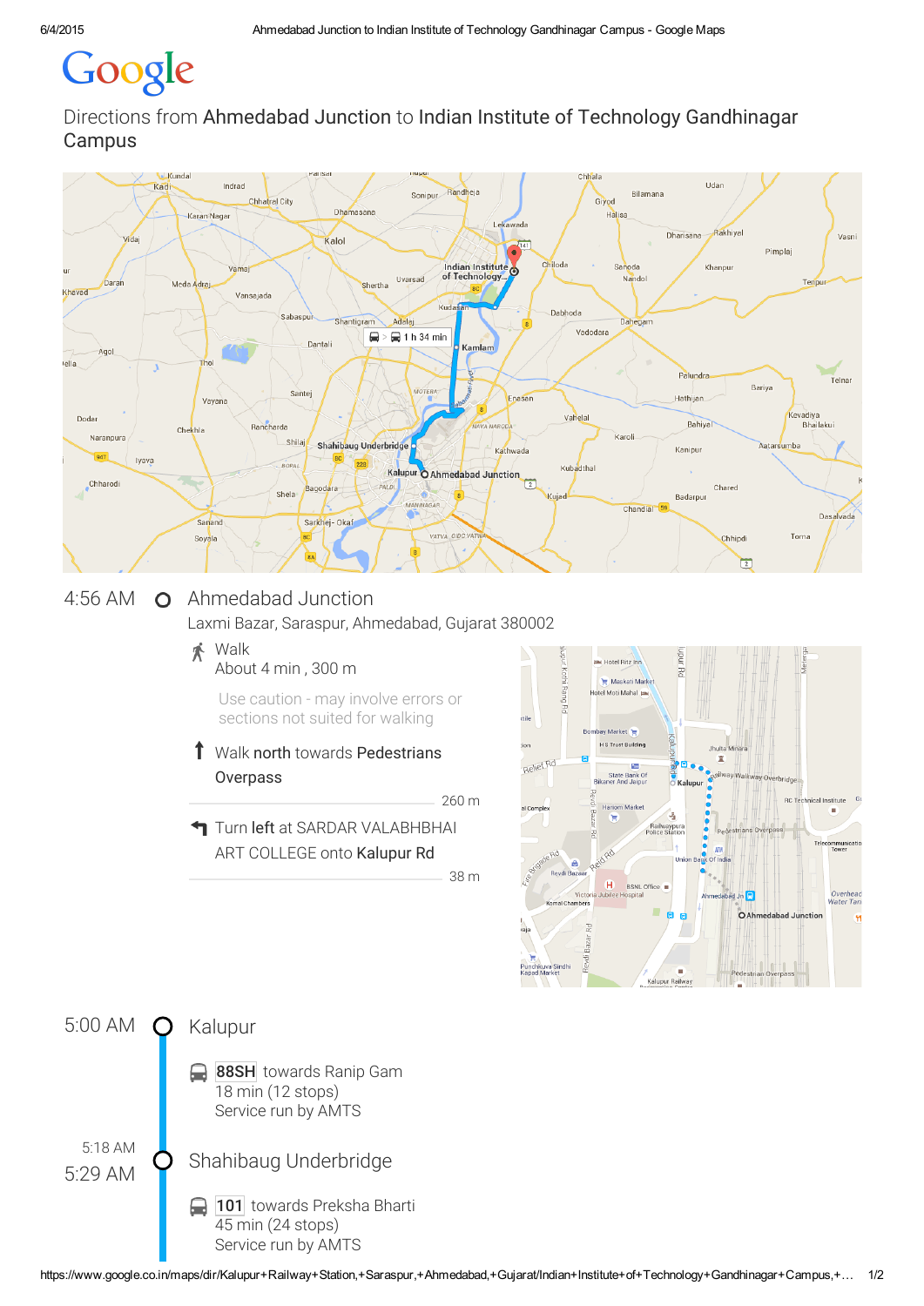# Google

Directions from Ahmedabad Junction to Indian Institute of Technology Gandhinagar Campus



## 4:56 AM O Ahmedabad Junction

Laxmi Bazar, Saraspur, Ahmedabad, Gujarat 380002

#### Walk 术 About 4 min , 300 m

Use caution - may involve errors or sections not suited for walking

#### Ť Walk north towards Pedestrians **Overpass**

260 m

38 m

**T** Turn left at SARDAR VALABHBHAI ART COLLEGE onto Kalupur Rd

Hotel Ritz Inn š Maskati Marke el Moti Mahal ay Market H S Trust Buildin P. Relief Rd State Bank Of<br>Bikaner And Jaipur **Hariom Marke** J. **O**<br>Richard India ê  $\overline{H}$ **BSNL Office** Overhead<br>Nater Tani edabad Jn Ahm nal Chamber O Ahmedabad Junctio  $\tilde{a}$ Kalupur Railwa